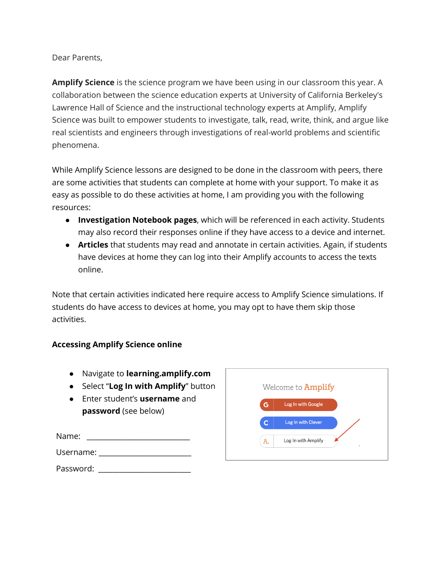Dear Parents,

**Amplify Science** is the science program we have been using in our classroom this year. A collaboration between the science education experts at University of California Berkeley's Lawrence Hall of Science and the instructional technology experts at Amplify, Amplify Science was built to empower students to investigate, talk, read, write, think, and argue like real scientists and engineers through investigations of real-world problems and scientific phenomena.

While Amplify Science lessons are designed to be done in the classroom with peers, there are some activities that students can complete at home with your support. To make it as easy as possible to do these activities at home, I am providing you with the following resources:

- **Investigation Notebook pages**, which will be referenced in each activity. Students may also record their responses online if they have access to a device and internet.
- **Articles** that students may read and annotate in certain activities. Again, if students have devices at home they can log into their Amplify accounts to access the texts online.

Note that certain activities indicated here require access to Amplify Science simulations. If students do have access to devices at home, you may opt to have them skip those activities.

## **Accessing Amplify Science online**

- Navigate to **learning.amplify.com**
- Select "**Log In with Amplify**" button
- Enter student's **username** and **password** (see below)

| Name:     |  |  |
|-----------|--|--|
| Username: |  |  |
|           |  |  |

|    | Log In with Google  |  |
|----|---------------------|--|
| G  |                     |  |
| с  | Log In with Clever  |  |
|    |                     |  |
| A. | Log In with Amplify |  |

Password: \_\_\_\_\_\_\_\_\_\_\_\_\_\_\_\_\_\_\_\_\_\_\_\_\_\_